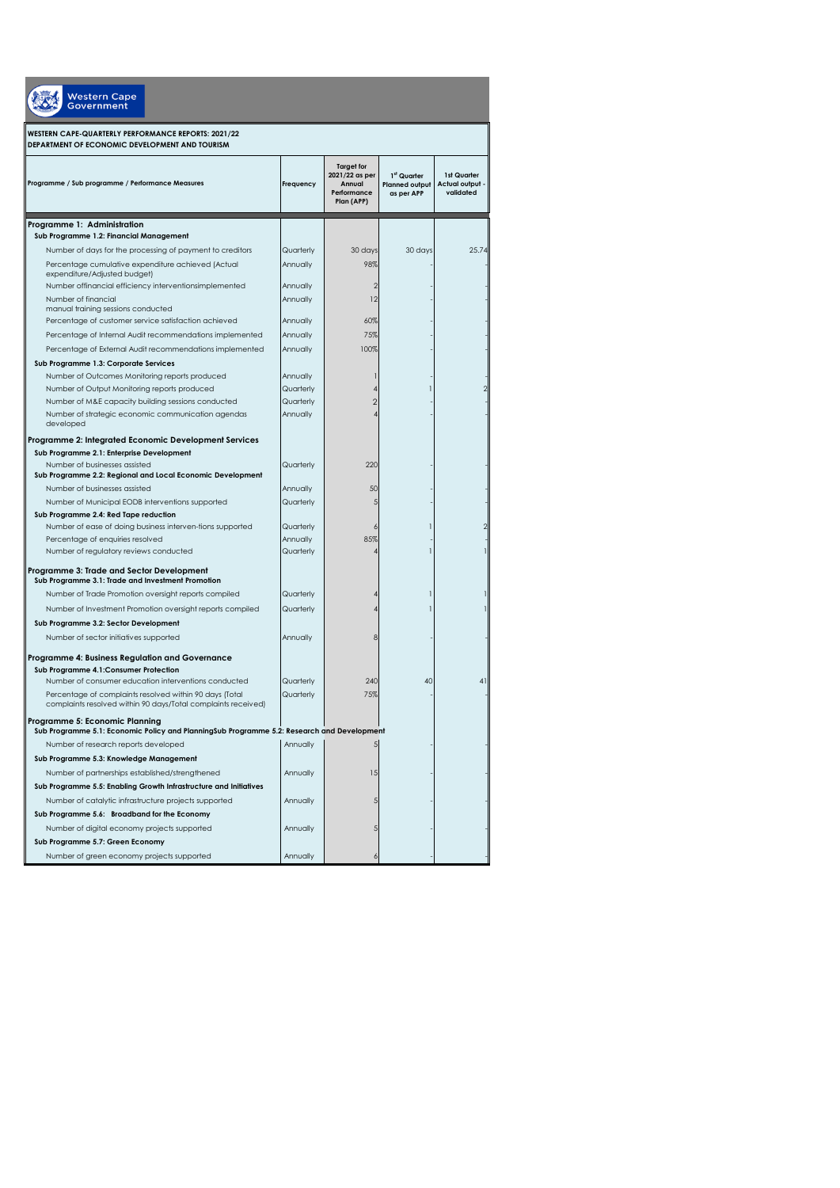| <b>Nestern Cape</b><br><b>Government</b>                                                                                     |                       |                                                                            |                                                    |                                             |  |  |
|------------------------------------------------------------------------------------------------------------------------------|-----------------------|----------------------------------------------------------------------------|----------------------------------------------------|---------------------------------------------|--|--|
| WESTERN CAPE-QUARTERLY PERFORMANCE REPORTS: 2021/22<br>DEPARTMENT OF ECONOMIC DEVELOPMENT AND TOURISM                        |                       |                                                                            |                                                    |                                             |  |  |
| Programme / Sub programme / Performance Measures                                                                             | Frequency             | <b>Target for</b><br>2021/22 as per<br>Annual<br>Performance<br>Plan (APP) | 1st Quarter<br><b>Planned output</b><br>as per APP | 1st Quarter<br>Actual output -<br>validated |  |  |
| Programme 1: Administration                                                                                                  |                       |                                                                            |                                                    |                                             |  |  |
| Sub Programme 1.2: Financial Management                                                                                      |                       |                                                                            |                                                    |                                             |  |  |
| Number of days for the processing of payment to creditors                                                                    | Quarterly             | 30 days                                                                    | 30 days                                            | 25.74                                       |  |  |
| Percentage cumulative expenditure achieved (Actual<br>expenditure/Adjusted budget)                                           | Annually              | 98%                                                                        |                                                    |                                             |  |  |
| Number offinancial efficiency interventionsimplemented                                                                       | Annually              | $\overline{2}$                                                             |                                                    |                                             |  |  |
| Number of financial<br>manual training sessions conducted<br>Percentage of customer service satisfaction achieved            | Annually<br>Annually  | 12<br>60%                                                                  |                                                    |                                             |  |  |
| Percentage of Internal Audit recommendations implemented                                                                     |                       | 75%                                                                        |                                                    |                                             |  |  |
|                                                                                                                              | Annually              | 100%                                                                       |                                                    |                                             |  |  |
| Percentage of External Audit recommendations implemented                                                                     | Annually              |                                                                            |                                                    |                                             |  |  |
| Sub Programme 1.3: Corporate Services<br>Number of Outcomes Monitoring reports produced                                      | Annually              |                                                                            |                                                    |                                             |  |  |
| Number of Output Monitoring reports produced                                                                                 | Quarterly             |                                                                            |                                                    |                                             |  |  |
| Number of M&E capacity building sessions conducted                                                                           | Quarterly             | $\overline{2}$                                                             |                                                    |                                             |  |  |
| Number of strategic economic communication agendas<br>developed                                                              | Annually              |                                                                            |                                                    |                                             |  |  |
| Programme 2: Integrated Economic Development Services                                                                        |                       |                                                                            |                                                    |                                             |  |  |
| Sub Programme 2.1: Enterprise Development                                                                                    |                       |                                                                            |                                                    |                                             |  |  |
| Number of businesses assisted                                                                                                | Quarterly             | 220                                                                        |                                                    |                                             |  |  |
| Sub Programme 2.2: Regional and Local Economic Development                                                                   |                       |                                                                            |                                                    |                                             |  |  |
| Number of businesses assisted                                                                                                | Annually              | 50                                                                         |                                                    |                                             |  |  |
| Number of Municipal EODB interventions supported                                                                             | Quarterly             |                                                                            |                                                    |                                             |  |  |
| Sub Programme 2.4: Red Tape reduction                                                                                        |                       |                                                                            |                                                    |                                             |  |  |
| Number of ease of doing business interven-tions supported                                                                    | Quarterly             |                                                                            |                                                    |                                             |  |  |
| Percentage of enquiries resolved<br>Number of regulatory reviews conducted                                                   | Annually<br>Quarterly | 85%                                                                        |                                                    |                                             |  |  |
| Programme 3: Trade and Sector Development                                                                                    |                       |                                                                            |                                                    |                                             |  |  |
| Sub Programme 3.1: Trade and Investment Promotion                                                                            |                       |                                                                            |                                                    |                                             |  |  |
| Number of Trade Promotion oversight reports compiled                                                                         | Quarterly             |                                                                            |                                                    |                                             |  |  |
| Number of Investment Promotion oversight reports compiled                                                                    | Quarterly             |                                                                            |                                                    |                                             |  |  |
| Sub Programme 3.2: Sector Development                                                                                        |                       |                                                                            |                                                    |                                             |  |  |
| Number of sector initiatives supported                                                                                       | Annually              | 8                                                                          |                                                    |                                             |  |  |
| Programme 4: Business Regulation and Governance                                                                              |                       |                                                                            |                                                    |                                             |  |  |
| Sub Programme 4.1: Consumer Protection<br>Number of consumer education interventions conducted                               | Quarterly             | 240                                                                        | 40                                                 | 41                                          |  |  |
| Percentage of complaints resolved within 90 days (Total<br>complaints resolved within 90 days/Total complaints received)     | Quarterly             | 75%                                                                        |                                                    |                                             |  |  |
| Programme 5: Economic Planning<br>Sub Programme 5.1: Economic Policy and PlanningSub Programme 5.2: Research and Development |                       |                                                                            |                                                    |                                             |  |  |
| Number of research reports developed                                                                                         | Annually              |                                                                            |                                                    |                                             |  |  |
| Sub Programme 5.3: Knowledge Management                                                                                      |                       |                                                                            |                                                    |                                             |  |  |
| Number of partnerships established/strengthened                                                                              | Annually              | 15                                                                         |                                                    |                                             |  |  |
| Sub Programme 5.5: Enabling Growth Infrastructure and Initiatives                                                            |                       |                                                                            |                                                    |                                             |  |  |
| Number of catalytic infrastructure projects supported                                                                        | Annually              | 5                                                                          |                                                    |                                             |  |  |
| Sub Programme 5.6: Broadband for the Economy                                                                                 |                       |                                                                            |                                                    |                                             |  |  |
| Number of digital economy projects supported                                                                                 | Annually              | 5                                                                          |                                                    |                                             |  |  |
| Sub Programme 5.7: Green Economy                                                                                             |                       |                                                                            |                                                    |                                             |  |  |
| Number of green economy projects supported                                                                                   | Annually              | ć                                                                          |                                                    |                                             |  |  |
|                                                                                                                              |                       |                                                                            |                                                    |                                             |  |  |